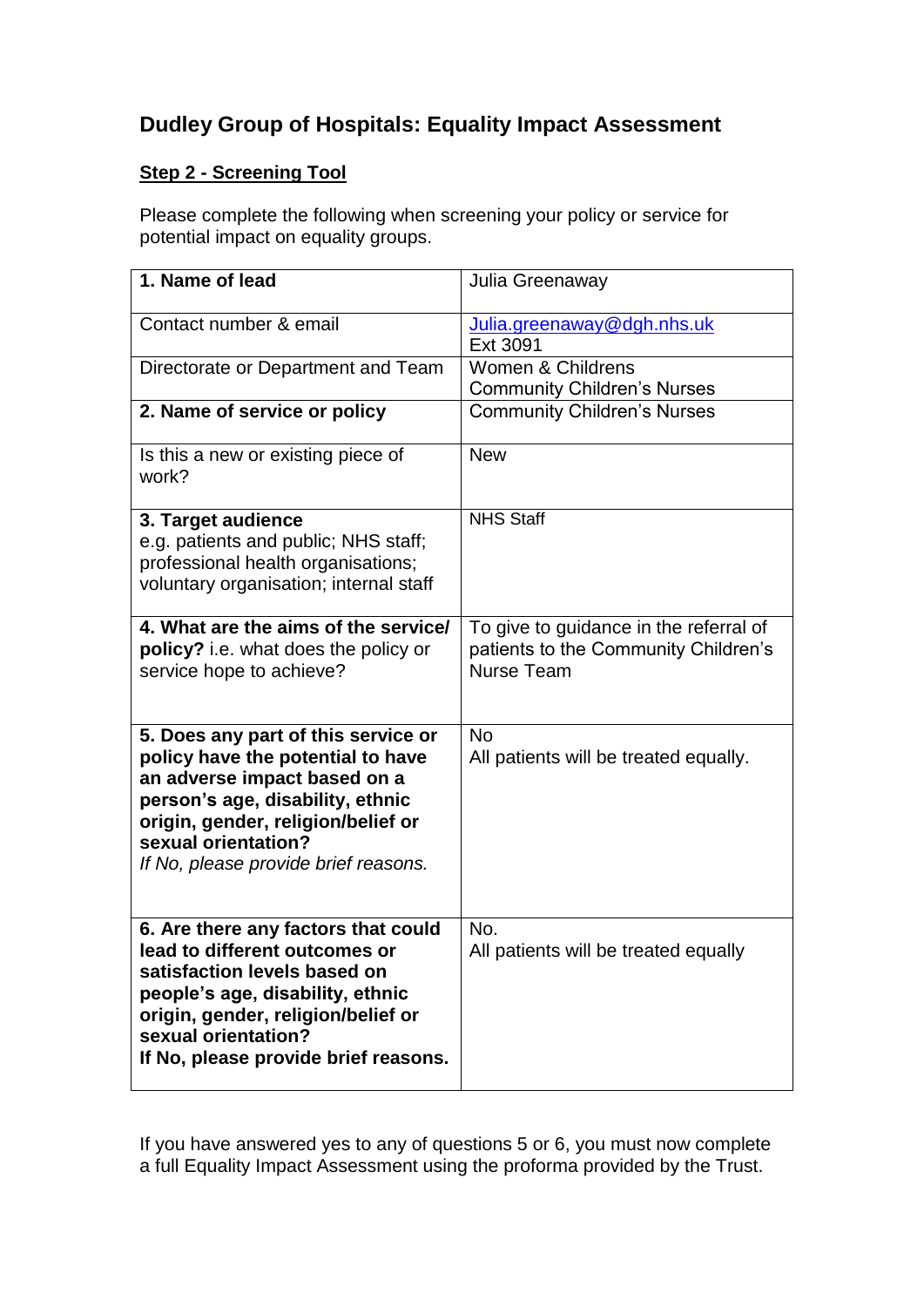# **Dudley Group of Hospitals: Equality Impact Assessment**

# **Step 2 - Screening Tool**

Please complete the following when screening your policy or service for potential impact on equality groups.

| 1. Name of lead                                                                                                                                                                                                                                   | Julia Greenaway                                                                                     |
|---------------------------------------------------------------------------------------------------------------------------------------------------------------------------------------------------------------------------------------------------|-----------------------------------------------------------------------------------------------------|
| Contact number & email                                                                                                                                                                                                                            | Julia.greenaway@dgh.nhs.uk<br>Ext 3091                                                              |
| Directorate or Department and Team                                                                                                                                                                                                                | Women & Childrens<br><b>Community Children's Nurses</b>                                             |
| 2. Name of service or policy                                                                                                                                                                                                                      | <b>Community Children's Nurses</b>                                                                  |
| Is this a new or existing piece of<br>work?                                                                                                                                                                                                       | <b>New</b>                                                                                          |
| 3. Target audience<br>e.g. patients and public; NHS staff;<br>professional health organisations;<br>voluntary organisation; internal staff                                                                                                        | <b>NHS Staff</b>                                                                                    |
| 4. What are the aims of the service/<br>policy? i.e. what does the policy or<br>service hope to achieve?                                                                                                                                          | To give to guidance in the referral of<br>patients to the Community Children's<br><b>Nurse Team</b> |
| 5. Does any part of this service or<br>policy have the potential to have<br>an adverse impact based on a<br>person's age, disability, ethnic<br>origin, gender, religion/belief or<br>sexual orientation?<br>If No, please provide brief reasons. | <b>No</b><br>All patients will be treated equally.                                                  |
| 6. Are there any factors that could<br>lead to different outcomes or<br>satisfaction levels based on<br>people's age, disability, ethnic<br>origin, gender, religion/belief or<br>sexual orientation?<br>If No, please provide brief reasons.     | No.<br>All patients will be treated equally                                                         |

If you have answered yes to any of questions 5 or 6, you must now complete a full Equality Impact Assessment using the proforma provided by the Trust.